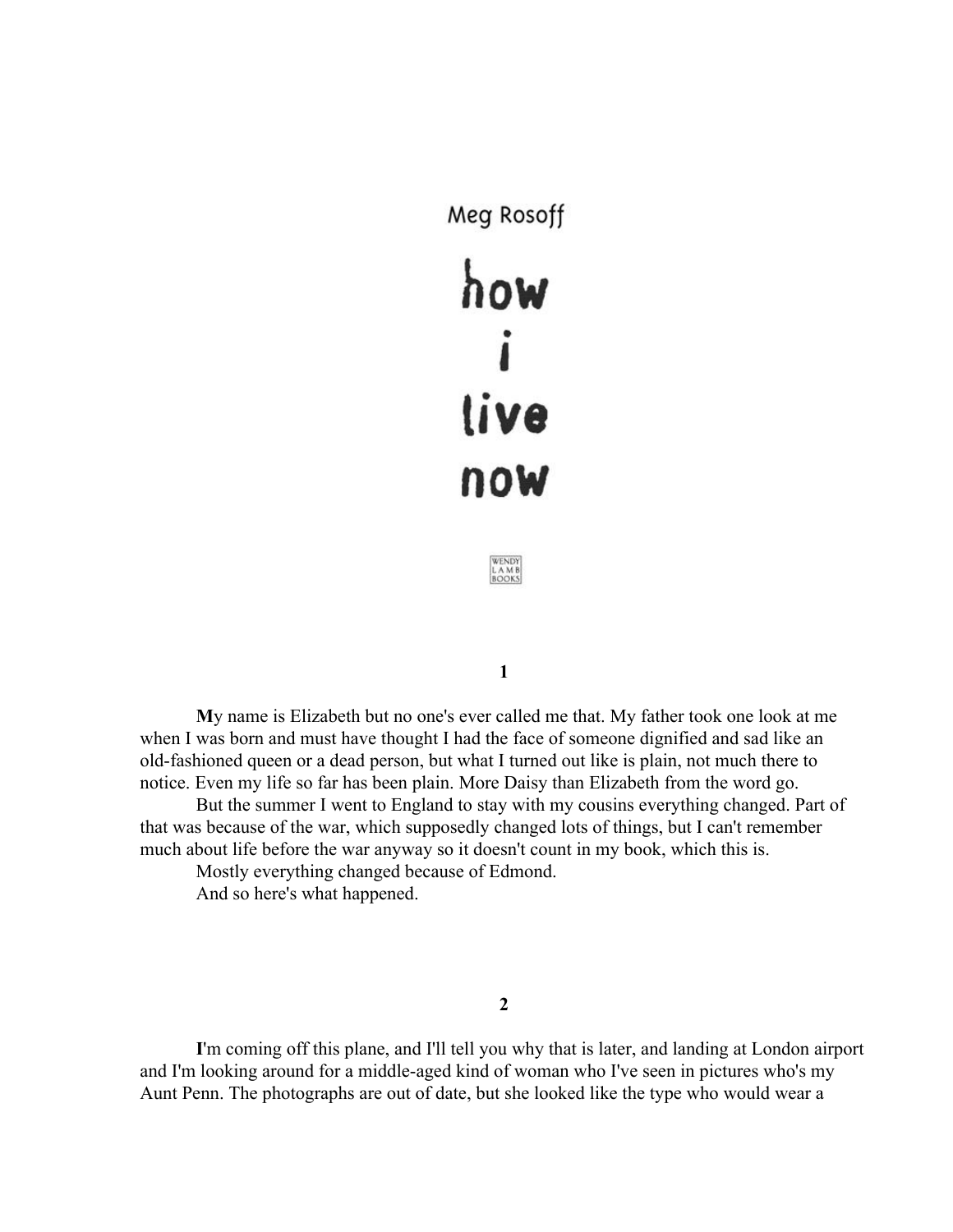## Meg Rosoff

## how  $\mathbf{i}$ live now

WENDY<br>LAMB<br>BOOKS

**1**

**M**y name is Elizabeth but no one's ever called me that. My father took one look at me when I was born and must have thought I had the face of someone dignified and sad like an old-fashioned queen or a dead person, but what I turned out like is plain, not much there to notice. Even my life so far has been plain. More Daisy than Elizabeth from the word go.

But the summer I went to England to stay with my cousins everything changed. Part of that was because of the war, which supposedly changed lots of things, but I can't remember much about life before the war anyway so it doesn't count in my book, which this is.

Mostly everything changed because of Edmond.

And so here's what happened.

**2**

**I**'m coming off this plane, and I'll tell you why that is later, and landing at London airport and I'm looking around for a middle-aged kind of woman who I've seen in pictures who's my Aunt Penn. The photographs are out of date, but she looked like the type who would wear a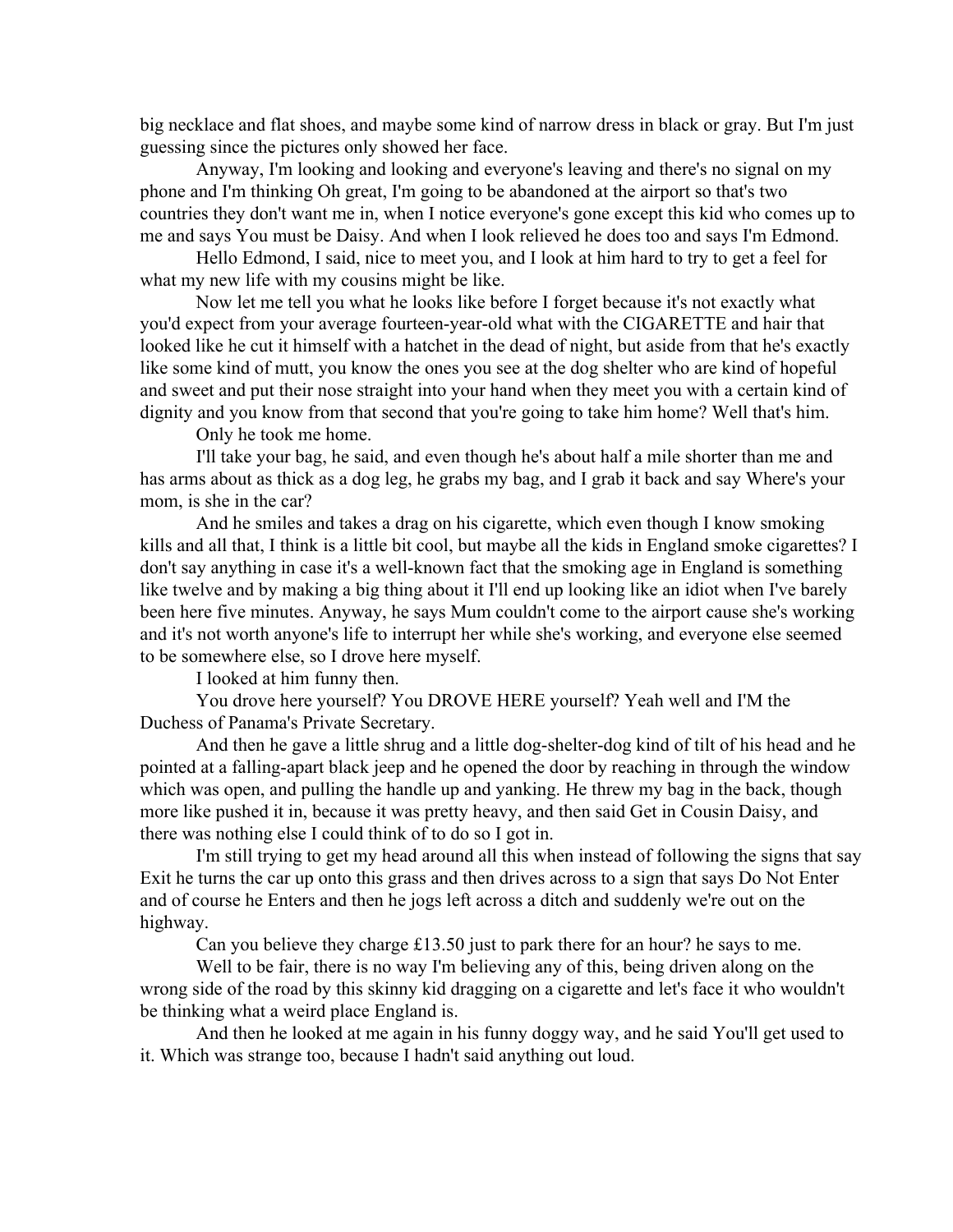big necklace and flat shoes, and maybe some kind of narrow dress in black or gray. But I'm just guessing since the pictures only showed her face.

Anyway, I'm looking and looking and everyone's leaving and there's no signal on my phone and I'm thinking Oh great, I'm going to be abandoned at the airport so that's two countries they don't want me in, when I notice everyone's gone except this kid who comes up to me and says You must be Daisy. And when I look relieved he does too and says I'm Edmond.

Hello Edmond, I said, nice to meet you, and I look at him hard to try to get a feel for what my new life with my cousins might be like.

Now let me tell you what he looks like before I forget because it's not exactly what you'd expect from your average fourteen-year-old what with the CIGARETTE and hair that looked like he cut it himself with a hatchet in the dead of night, but aside from that he's exactly like some kind of mutt, you know the ones you see at the dog shelter who are kind of hopeful and sweet and put their nose straight into your hand when they meet you with a certain kind of dignity and you know from that second that you're going to take him home? Well that's him.

Only he took me home.

I'll take your bag, he said, and even though he's about half a mile shorter than me and has arms about as thick as a dog leg, he grabs my bag, and I grab it back and say Where's your mom, is she in the car?

And he smiles and takes a drag on his cigarette, which even though I know smoking kills and all that, I think is a little bit cool, but maybe all the kids in England smoke cigarettes? I don't say anything in case it's a well-known fact that the smoking age in England is something like twelve and by making a big thing about it I'll end up looking like an idiot when I've barely been here five minutes. Anyway, he says Mum couldn't come to the airport cause she's working and it's not worth anyone's life to interrupt her while she's working, and everyone else seemed to be somewhere else, so I drove here myself.

I looked at him funny then.

You drove here yourself? You DROVE HERE yourself? Yeah well and I'M the Duchess of Panama's Private Secretary.

And then he gave a little shrug and a little dog-shelter-dog kind of tilt of his head and he pointed at a falling-apart black jeep and he opened the door by reaching in through the window which was open, and pulling the handle up and yanking. He threw my bag in the back, though more like pushed it in, because it was pretty heavy, and then said Get in Cousin Daisy, and there was nothing else I could think of to do so I got in.

I'm still trying to get my head around all this when instead of following the signs that say Exit he turns the car up onto this grass and then drives across to a sign that says Do Not Enter and of course he Enters and then he jogs left across a ditch and suddenly we're out on the highway.

Can you believe they charge £13.50 just to park there for an hour? he says to me.

Well to be fair, there is no way I'm believing any of this, being driven along on the wrong side of the road by this skinny kid dragging on a cigarette and let's face it who wouldn't be thinking what a weird place England is.

And then he looked at me again in his funny doggy way, and he said You'll get used to it. Which was strange too, because I hadn't said anything out loud.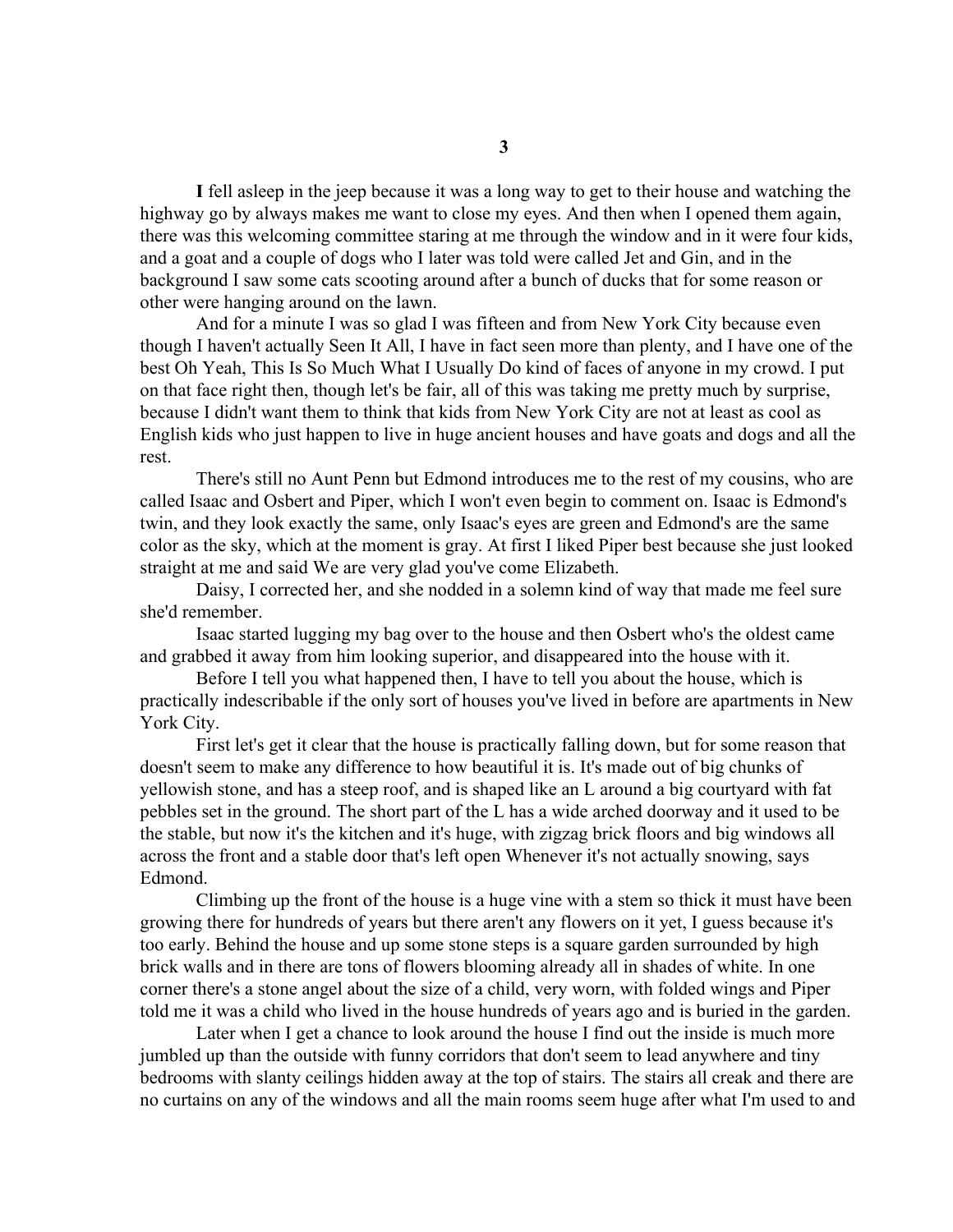**I** fell asleep in the jeep because it was a long way to get to their house and watching the highway go by always makes me want to close my eyes. And then when I opened them again, there was this welcoming committee staring at me through the window and in it were four kids, and a goat and a couple of dogs who I later was told were called Jet and Gin, and in the background I saw some cats scooting around after a bunch of ducks that for some reason or other were hanging around on the lawn.

And for a minute I was so glad I was fifteen and from New York City because even though I haven't actually Seen It All, I have in fact seen more than plenty, and I have one of the best Oh Yeah, This Is So Much What I Usually Do kind of faces of anyone in my crowd. I put on that face right then, though let's be fair, all of this was taking me pretty much by surprise, because I didn't want them to think that kids from New York City are not at least as cool as English kids who just happen to live in huge ancient houses and have goats and dogs and all the rest.

There's still no Aunt Penn but Edmond introduces me to the rest of my cousins, who are called Isaac and Osbert and Piper, which I won't even begin to comment on. Isaac is Edmond's twin, and they look exactly the same, only Isaac's eyes are green and Edmond's are the same color as the sky, which at the moment is gray. At first I liked Piper best because she just looked straight at me and said We are very glad you've come Elizabeth.

Daisy, I corrected her, and she nodded in a solemn kind of way that made me feel sure she'd remember.

Isaac started lugging my bag over to the house and then Osbert who's the oldest came and grabbed it away from him looking superior, and disappeared into the house with it.

Before I tell you what happened then, I have to tell you about the house, which is practically indescribable if the only sort of houses you've lived in before are apartments in New York City.

First let's get it clear that the house is practically falling down, but for some reason that doesn't seem to make any difference to how beautiful it is. It's made out of big chunks of yellowish stone, and has a steep roof, and is shaped like an L around a big courtyard with fat pebbles set in the ground. The short part of the L has a wide arched doorway and it used to be the stable, but now it's the kitchen and it's huge, with zigzag brick floors and big windows all across the front and a stable door that's left open Whenever it's not actually snowing, says Edmond.

Climbing up the front of the house is a huge vine with a stem so thick it must have been growing there for hundreds of years but there aren't any flowers on it yet, I guess because it's too early. Behind the house and up some stone steps is a square garden surrounded by high brick walls and in there are tons of flowers blooming already all in shades of white. In one corner there's a stone angel about the size of a child, very worn, with folded wings and Piper told me it was a child who lived in the house hundreds of years ago and is buried in the garden.

Later when I get a chance to look around the house I find out the inside is much more jumbled up than the outside with funny corridors that don't seem to lead anywhere and tiny bedrooms with slanty ceilings hidden away at the top of stairs. The stairs all creak and there are no curtains on any of the windows and all the main rooms seem huge after what I'm used to and